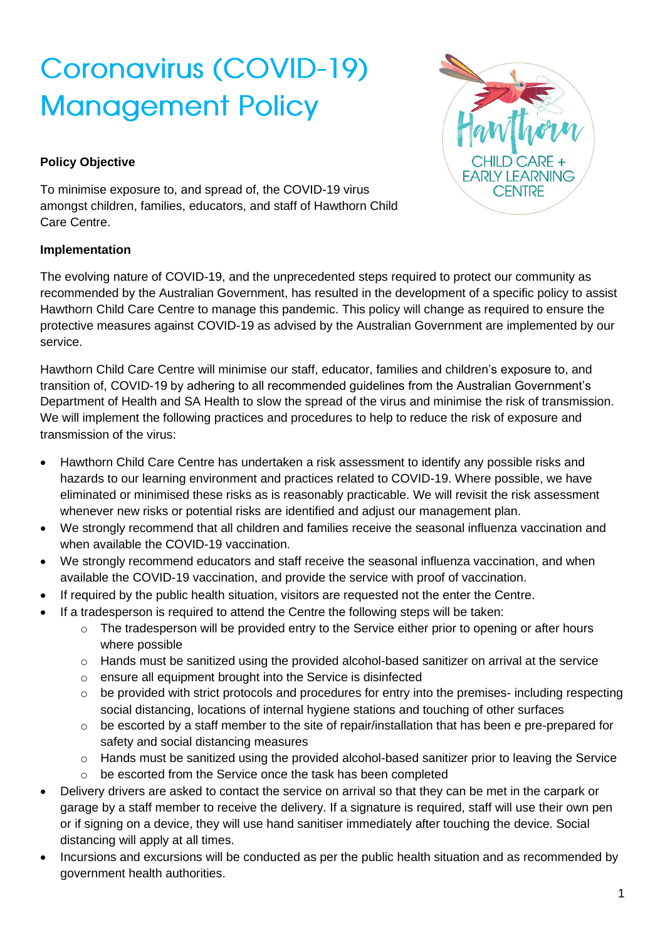# **Coronavirus (COVID-19) Management Policy**

# **Policy Objective**

To minimise exposure to, and spread of, the COVID-19 virus amongst children, families, educators, and staff of Hawthorn Child Care Centre.

# **Implementation**



The evolving nature of COVID-19, and the unprecedented steps required to protect our community as recommended by the Australian Government, has resulted in the development of a specific policy to assist Hawthorn Child Care Centre to manage this pandemic. This policy will change as required to ensure the protective measures against COVID-19 as advised by the Australian Government are implemented by our service.

Hawthorn Child Care Centre will minimise our staff, educator, families and children's exposure to, and transition of, COVID-19 by adhering to all recommended guidelines from the Australian Government's Department of Health and SA Health to slow the spread of the virus and minimise the risk of transmission. We will implement the following practices and procedures to help to reduce the risk of exposure and transmission of the virus:

- Hawthorn Child Care Centre has undertaken a risk assessment to identify any possible risks and hazards to our learning environment and practices related to COVID-19. Where possible, we have eliminated or minimised these risks as is reasonably practicable. We will revisit the risk assessment whenever new risks or potential risks are identified and adjust our management plan.
- We strongly recommend that all children and families receive the seasonal influenza vaccination and when available the COVID-19 vaccination.
- We strongly recommend educators and staff receive the seasonal influenza vaccination, and when available the COVID-19 vaccination, and provide the service with proof of vaccination.
- If required by the public health situation, visitors are requested not the enter the Centre.
- If a tradesperson is required to attend the Centre the following steps will be taken:
	- o The tradesperson will be provided entry to the Service either prior to opening or after hours where possible
	- $\circ$  Hands must be sanitized using the provided alcohol-based sanitizer on arrival at the service
	- o ensure all equipment brought into the Service is disinfected
	- o be provided with strict protocols and procedures for entry into the premises- including respecting social distancing, locations of internal hygiene stations and touching of other surfaces
	- o be escorted by a staff member to the site of repair/installation that has been e pre-prepared for safety and social distancing measures
	- $\circ$  Hands must be sanitized using the provided alcohol-based sanitizer prior to leaving the Service
	- o be escorted from the Service once the task has been completed
- Delivery drivers are asked to contact the service on arrival so that they can be met in the carpark or garage by a staff member to receive the delivery. If a signature is required, staff will use their own pen or if signing on a device, they will use hand sanitiser immediately after touching the device. Social distancing will apply at all times.
- Incursions and excursions will be conducted as per the public health situation and as recommended by government health authorities.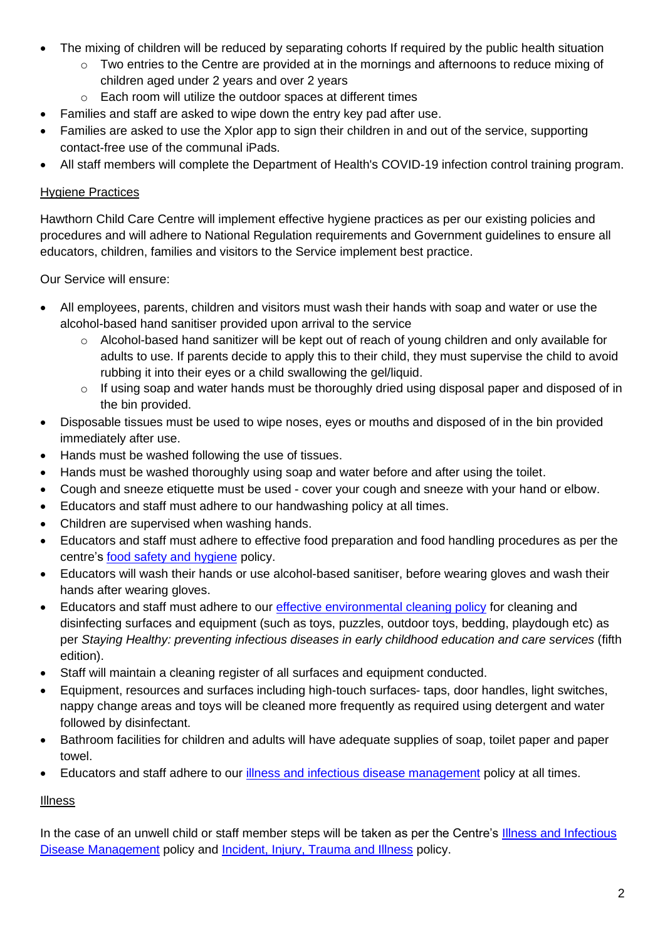- The mixing of children will be reduced by separating cohorts If required by the public health situation
	- o Two entries to the Centre are provided at in the mornings and afternoons to reduce mixing of children aged under 2 years and over 2 years
	- o Each room will utilize the outdoor spaces at different times
- Families and staff are asked to wipe down the entry key pad after use.
- Families are asked to use the Xplor app to sign their children in and out of the service, supporting contact-free use of the communal iPads.
- All staff members will complete the Department of Health's COVID-19 infection control training program.

## Hygiene Practices

Hawthorn Child Care Centre will implement effective hygiene practices as per our existing policies and procedures and will adhere to National Regulation requirements and Government guidelines to ensure all educators, children, families and visitors to the Service implement best practice.

Our Service will ensure:

- All employees, parents, children and visitors must wash their hands with soap and water or use the alcohol-based hand sanitiser provided upon arrival to the service
	- o Alcohol-based hand sanitizer will be kept out of reach of young children and only available for adults to use. If parents decide to apply this to their child, they must supervise the child to avoid rubbing it into their eyes or a child swallowing the gel/liquid.
	- $\circ$  If using soap and water hands must be thoroughly dried using disposal paper and disposed of in the bin provided.
- Disposable tissues must be used to wipe noses, eyes or mouths and disposed of in the bin provided immediately after use.
- Hands must be washed following the use of tissues.
- Hands must be washed thoroughly using soap and water before and after using the toilet.
- Cough and sneeze etiquette must be used cover your cough and sneeze with your hand or elbow.
- Educators and staff must adhere to our handwashing policy at all times.
- Children are supervised when washing hands.
- Educators and staff must adhere to effective food preparation and food handling procedures as per the centre's [food safety and hygiene](../Policies%202019/Centre%20Policies%202019/Food%20Safety%20and%20Hygiene.docx) policy.
- Educators will wash their hands or use alcohol-based sanitiser, before wearing gloves and wash their hands after wearing gloves.
- Educators and staff must adhere to our [effective environmental cleaning policy](../Policies%202019/Centre%20Policies%202019/Effective%20Environmental%20Cleaning.docx) for cleaning and disinfecting surfaces and equipment (such as toys, puzzles, outdoor toys, bedding, playdough etc) as per *Staying Healthy: preventing infectious diseases in early childhood education and care services* (fifth edition).
- Staff will maintain a cleaning register of all surfaces and equipment conducted.
- Equipment, resources and surfaces including high-touch surfaces- taps, door handles, light switches, nappy change areas and toys will be cleaned more frequently as required using detergent and water followed by disinfectant.
- Bathroom facilities for children and adults will have adequate supplies of soap, toilet paper and paper towel.
- Educators and staff adhere to our *illness and infectious disease management* policy at all times.

## **Illness**

In the case of an unwell child or staff member steps will be taken as per the Centre's [Illness and Infectious](../Policies%202019/Centre%20Policies%202019/Illness%20and%20Infectious%20Disease%20Management%20Practices.pdf)  [Disease Management](../Policies%202019/Centre%20Policies%202019/Illness%20and%20Infectious%20Disease%20Management%20Practices.pdf) policy and [Incident, Injury, Trauma and Illness](../Policies%202019/Centre%20Policies%202019/Incident,%20Injury,%20Trauma%20and%20Illness%20Policy.docx) policy.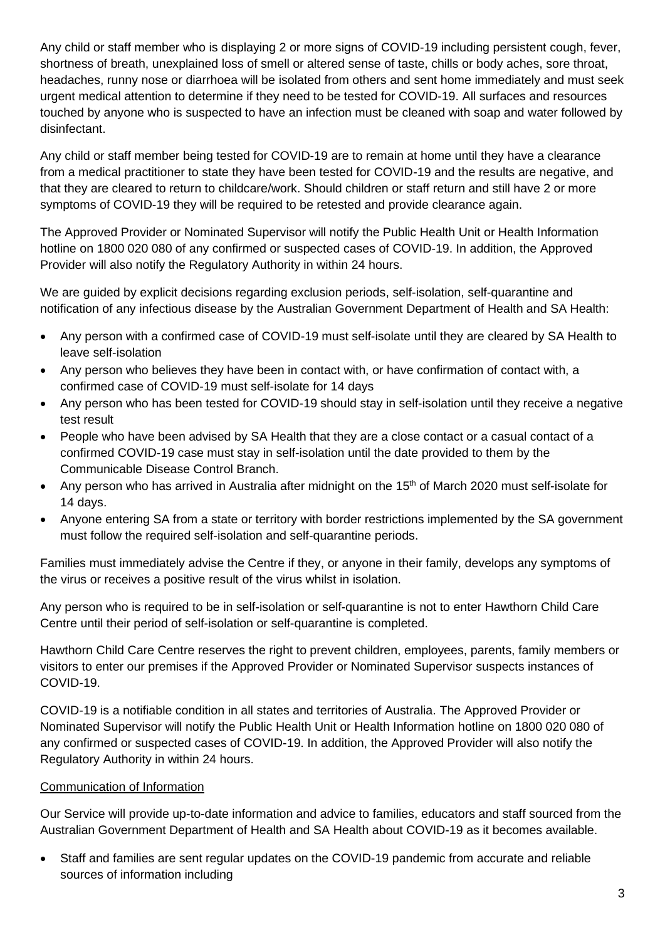Any child or staff member who is displaying 2 or more signs of COVID-19 including persistent cough, fever, shortness of breath, unexplained loss of smell or altered sense of taste, chills or body aches, sore throat, headaches, runny nose or diarrhoea will be isolated from others and sent home immediately and must seek urgent medical attention to determine if they need to be tested for COVID-19. All surfaces and resources touched by anyone who is suspected to have an infection must be cleaned with soap and water followed by disinfectant.

Any child or staff member being tested for COVID-19 are to remain at home until they have a clearance from a medical practitioner to state they have been tested for COVID-19 and the results are negative, and that they are cleared to return to childcare/work. Should children or staff return and still have 2 or more symptoms of COVID-19 they will be required to be retested and provide clearance again.

The Approved Provider or Nominated Supervisor will notify the Public Health Unit or Health Information hotline on 1800 020 080 of any confirmed or suspected cases of COVID-19. In addition, the Approved Provider will also notify the Regulatory Authority in within 24 hours.

We are guided by explicit decisions regarding exclusion periods, self-isolation, self-quarantine and notification of any infectious disease by the Australian Government Department of Health and SA Health:

- Any person with a confirmed case of COVID-19 must self-isolate until they are cleared by SA Health to leave self-isolation
- Any person who believes they have been in contact with, or have confirmation of contact with, a confirmed case of COVID-19 must self-isolate for 14 days
- Any person who has been tested for COVID-19 should stay in self-isolation until they receive a negative test result
- People who have been advised by SA Health that they are a close contact or a casual contact of a confirmed COVID-19 case must stay in self-isolation until the date provided to them by the Communicable Disease Control Branch.
- Any person who has arrived in Australia after midnight on the 15<sup>th</sup> of March 2020 must self-isolate for 14 days.
- Anyone entering SA from a state or territory with border restrictions implemented by the SA government must follow the required self-isolation and self-quarantine periods.

Families must immediately advise the Centre if they, or anyone in their family, develops any symptoms of the virus or receives a positive result of the virus whilst in isolation.

Any person who is required to be in self-isolation or self-quarantine is not to enter Hawthorn Child Care Centre until their period of self-isolation or self-quarantine is completed.

Hawthorn Child Care Centre reserves the right to prevent children, employees, parents, family members or visitors to enter our premises if the Approved Provider or Nominated Supervisor suspects instances of COVID-19.

COVID-19 is a notifiable condition in all states and territories of Australia. The Approved Provider or Nominated Supervisor will notify the Public Health Unit or Health Information hotline on 1800 020 080 of any confirmed or suspected cases of COVID-19. In addition, the Approved Provider will also notify the Regulatory Authority in within 24 hours.

## Communication of Information

Our Service will provide up-to-date information and advice to families, educators and staff sourced from the Australian Government Department of Health and SA Health about COVID-19 as it becomes available.

• Staff and families are sent regular updates on the COVID-19 pandemic from accurate and reliable sources of information including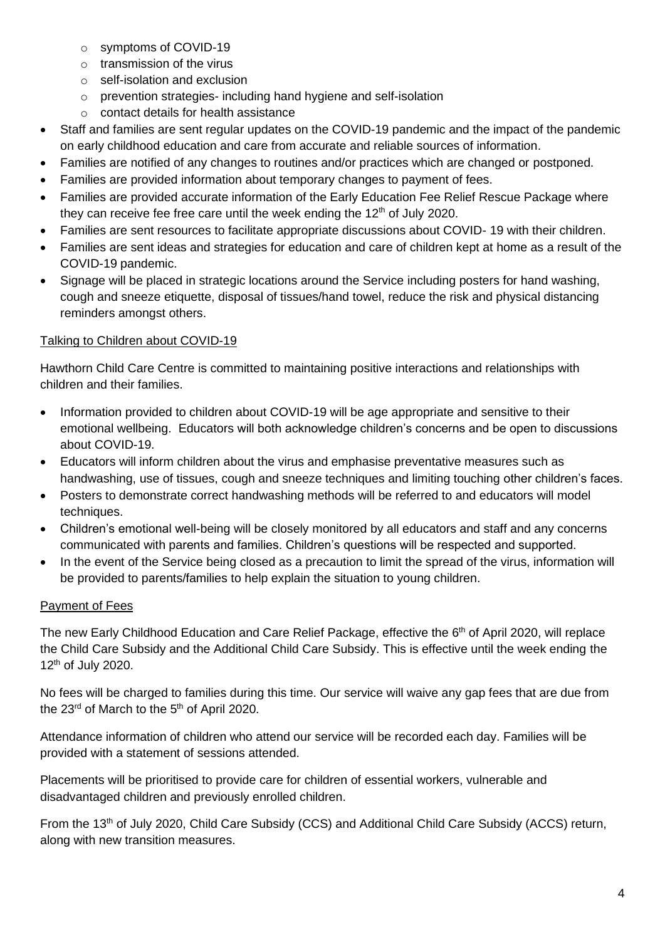- o symptoms of COVID-19
- $\circ$  transmission of the virus
- o self-isolation and exclusion
- o prevention strategies- including hand hygiene and self-isolation
- o contact details for health assistance
- Staff and families are sent regular updates on the COVID-19 pandemic and the impact of the pandemic on early childhood education and care from accurate and reliable sources of information.
- Families are notified of any changes to routines and/or practices which are changed or postponed.
- Families are provided information about temporary changes to payment of fees.
- Families are provided accurate information of the Early Education Fee Relief Rescue Package where they can receive fee free care until the week ending the  $12<sup>th</sup>$  of July 2020.
- Families are sent resources to facilitate appropriate discussions about COVID- 19 with their children.
- Families are sent ideas and strategies for education and care of children kept at home as a result of the COVID-19 pandemic.
- Signage will be placed in strategic locations around the Service including posters for hand washing, cough and sneeze etiquette, disposal of tissues/hand towel, reduce the risk and physical distancing reminders amongst others.

# Talking to Children about COVID-19

Hawthorn Child Care Centre is committed to maintaining positive interactions and relationships with children and their families.

- Information provided to children about COVID-19 will be age appropriate and sensitive to their emotional wellbeing. Educators will both acknowledge children's concerns and be open to discussions about COVID-19.
- Educators will inform children about the virus and emphasise preventative measures such as handwashing, use of tissues, cough and sneeze techniques and limiting touching other children's faces.
- Posters to demonstrate correct handwashing methods will be referred to and educators will model techniques.
- Children's emotional well-being will be closely monitored by all educators and staff and any concerns communicated with parents and families. Children's questions will be respected and supported.
- In the event of the Service being closed as a precaution to limit the spread of the virus, information will be provided to parents/families to help explain the situation to young children.

# Payment of Fees

The new Early Childhood Education and Care Relief Package, effective the 6<sup>th</sup> of April 2020, will replace the Child Care Subsidy and the Additional Child Care Subsidy. This is effective until the week ending the 12<sup>th</sup> of July 2020.

No fees will be charged to families during this time. Our service will waive any gap fees that are due from the  $23<sup>rd</sup>$  of March to the  $5<sup>th</sup>$  of April 2020.

Attendance information of children who attend our service will be recorded each day. Families will be provided with a statement of sessions attended.

Placements will be prioritised to provide care for children of essential workers, vulnerable and disadvantaged children and previously enrolled children.

From the 13<sup>th</sup> of July 2020, Child Care Subsidy (CCS) and Additional Child Care Subsidy (ACCS) return, along with new transition measures.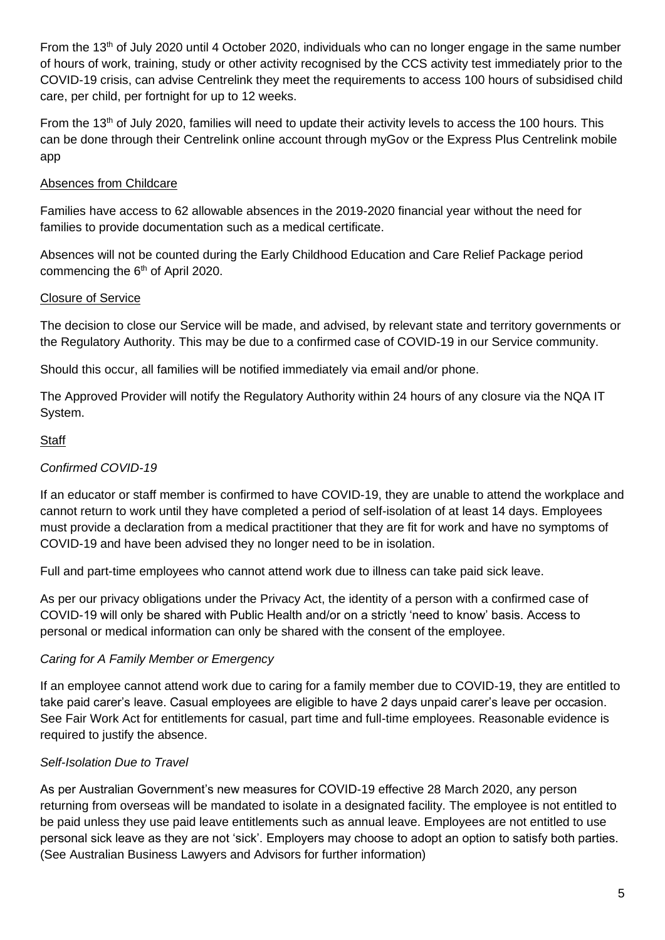From the 13th of July 2020 until 4 October 2020, individuals who can no longer engage in the same number of hours of work, training, study or other activity recognised by the CCS activity test immediately prior to the COVID-19 crisis, can advise Centrelink they meet the requirements to access 100 hours of subsidised child care, per child, per fortnight for up to 12 weeks.

From the 13th of July 2020, families will need to update their activity levels to access the 100 hours. This can be done through their Centrelink online account through myGov or the Express Plus Centrelink mobile app

# Absences from Childcare

Families have access to 62 allowable absences in the 2019-2020 financial year without the need for families to provide documentation such as a medical certificate.

Absences will not be counted during the Early Childhood Education and Care Relief Package period commencing the  $6<sup>th</sup>$  of April 2020.

## Closure of Service

The decision to close our Service will be made, and advised, by relevant state and territory governments or the Regulatory Authority. This may be due to a confirmed case of COVID-19 in our Service community.

Should this occur, all families will be notified immediately via email and/or phone.

The Approved Provider will notify the Regulatory Authority within 24 hours of any closure via the NQA IT System.

## **Staff**

## *Confirmed COVID-19*

If an educator or staff member is confirmed to have COVID-19, they are unable to attend the workplace and cannot return to work until they have completed a period of self-isolation of at least 14 days. Employees must provide a declaration from a medical practitioner that they are fit for work and have no symptoms of COVID-19 and have been advised they no longer need to be in isolation.

Full and part-time employees who cannot attend work due to illness can take paid sick leave.

As per our privacy obligations under the Privacy Act, the identity of a person with a confirmed case of COVID-19 will only be shared with Public Health and/or on a strictly 'need to know' basis. Access to personal or medical information can only be shared with the consent of the employee.

## *Caring for A Family Member or Emergency*

If an employee cannot attend work due to caring for a family member due to COVID-19, they are entitled to take paid carer's leave. Casual employees are eligible to have 2 days unpaid carer's leave per occasion. See Fair Work Act for entitlements for casual, part time and full-time employees. Reasonable evidence is required to justify the absence.

## *Self-Isolation Due to Travel*

As per Australian Government's new measures for COVID-19 effective 28 March 2020, any person returning from overseas will be mandated to isolate in a designated facility. The employee is not entitled to be paid unless they use paid leave entitlements such as annual leave. Employees are not entitled to use personal sick leave as they are not 'sick'. Employers may choose to adopt an option to satisfy both parties. (See Australian Business Lawyers and Advisors for further information)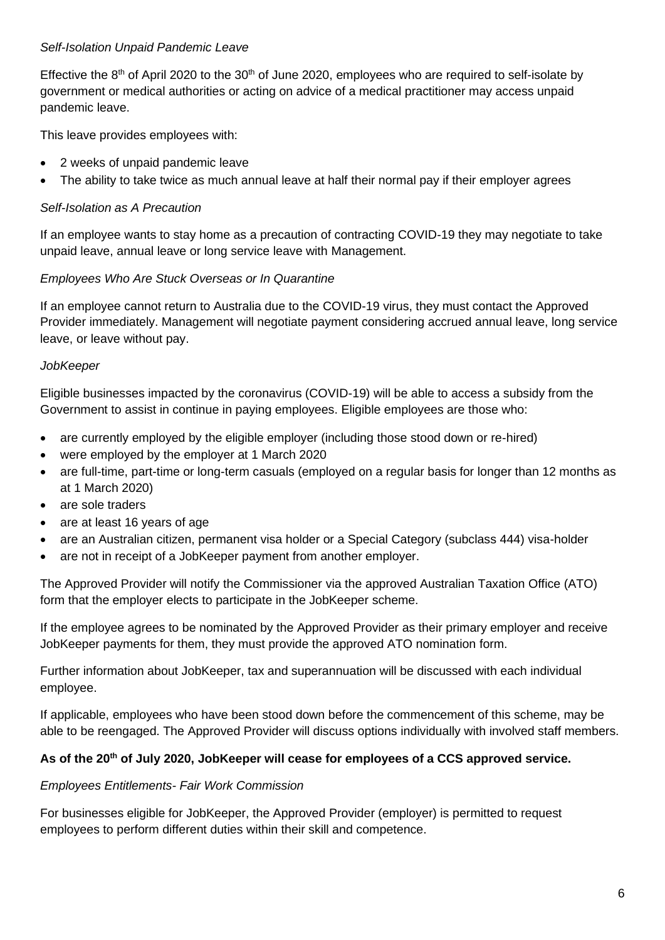#### *Self-Isolation Unpaid Pandemic Leave*

Effective the  $8<sup>th</sup>$  of April 2020 to the 30<sup>th</sup> of June 2020, employees who are required to self-isolate by government or medical authorities or acting on advice of a medical practitioner may access unpaid pandemic leave.

This leave provides employees with:

- 2 weeks of unpaid pandemic leave
- The ability to take twice as much annual leave at half their normal pay if their employer agrees

#### *Self-Isolation as A Precaution*

If an employee wants to stay home as a precaution of contracting COVID-19 they may negotiate to take unpaid leave, annual leave or long service leave with Management.

#### *Employees Who Are Stuck Overseas or In Quarantine*

If an employee cannot return to Australia due to the COVID-19 virus, they must contact the Approved Provider immediately. Management will negotiate payment considering accrued annual leave, long service leave, or leave without pay.

#### *JobKeeper*

Eligible businesses impacted by the coronavirus (COVID-19) will be able to access a subsidy from the Government to assist in continue in paying employees. Eligible employees are those who:

- are currently employed by the eligible employer (including those stood down or re-hired)
- were employed by the employer at 1 March 2020
- are full-time, part-time or long-term casuals (employed on a regular basis for longer than 12 months as at 1 March 2020)
- are sole traders
- are at least 16 years of age
- are an Australian citizen, permanent visa holder or a Special Category (subclass 444) visa-holder
- are not in receipt of a JobKeeper payment from another employer.

The Approved Provider will notify the Commissioner via the approved Australian Taxation Office (ATO) form that the employer elects to participate in the JobKeeper scheme.

If the employee agrees to be nominated by the Approved Provider as their primary employer and receive JobKeeper payments for them, they must provide the approved ATO nomination form.

Further information about JobKeeper, tax and superannuation will be discussed with each individual employee.

If applicable, employees who have been stood down before the commencement of this scheme, may be able to be reengaged. The Approved Provider will discuss options individually with involved staff members.

#### **As of the 20th of July 2020, JobKeeper will cease for employees of a CCS approved service.**

#### *Employees Entitlements- Fair Work Commission*

For businesses eligible for JobKeeper, the Approved Provider (employer) is permitted to request employees to perform different duties within their skill and competence.